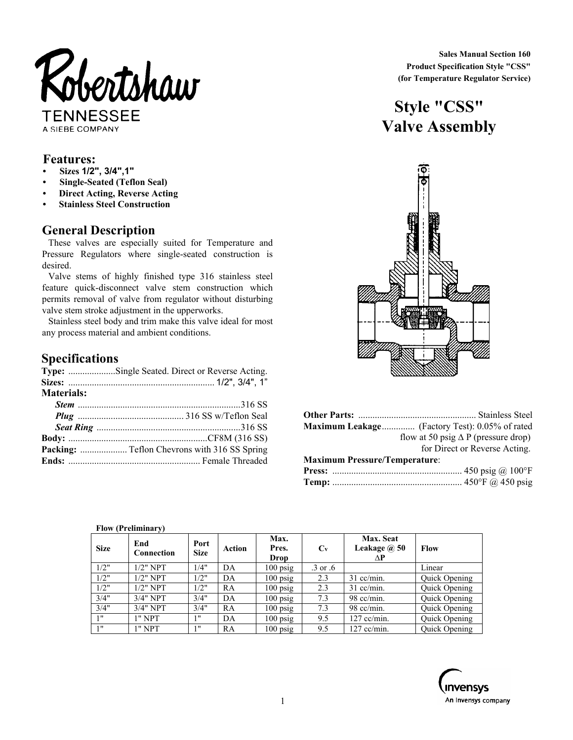

A SIEBE COMPANY

#### **Features:**

- **Sizes 1/2", 3/4",1"**
- **Single-Seated (Teflon Seal)**
- **Direct Acting, Reverse Acting**
- **Stainless Steel Construction**

## **General Description**

These valves are especially suited for Temperature and Pressure Regulators where single-seated construction is desired.

Valve stems of highly finished type 316 stainless steel feature quick-disconnect valve stem construction which permits removal of valve from regulator without disturbing valve stem stroke adjustment in the upperworks.

Stainless steel body and trim make this valve ideal for most any process material and ambient conditions.

## **Specifications**

|                   | Type: Single Seated. Direct or Reverse Acting. |
|-------------------|------------------------------------------------|
|                   |                                                |
| <b>Materials:</b> |                                                |
|                   |                                                |
|                   |                                                |
|                   |                                                |
|                   |                                                |
|                   |                                                |
|                   |                                                |
|                   |                                                |

 **Sales Manual Section 160 Product Specification Style "CSS" (for Temperature Regulator Service)** 

# **Style "CSS" Valve Assembly**



|                                      | Maximum Leakage (Factory Test): 0.05% of rated |
|--------------------------------------|------------------------------------------------|
|                                      | flow at 50 psig $\Delta P$ (pressure drop)     |
|                                      | for Direct or Reverse Acting.                  |
| <b>Maximum Pressure/Temperature:</b> |                                                |
|                                      |                                                |
|                                      |                                                |

| <b>Size</b> | $\mathbf{r}$<br>End<br>Connection | Port<br><b>Size</b> | <b>Action</b> | Max.<br>Pres.<br>Drop | $C_{V}$  | Max. Seat<br>Leakage @ 50<br>ΔP | Flow                 |
|-------------|-----------------------------------|---------------------|---------------|-----------------------|----------|---------------------------------|----------------------|
| 1/2"        | $1/2"$ NPT                        | 1/4"                | DA            | $100$ psig            | .3 or .6 |                                 | Linear               |
| 1/2"        | $1/2$ " NPT                       | 1/2"                | DA            | $100$ psig            | 2.3      | $31$ cc/min.                    | Quick Opening        |
| 1/2"        | $1/2$ " NPT                       | 1/2"                | RA            | $100$ psig            | 2.3      | $31$ cc/min.                    | <b>Ouick Opening</b> |
| 3/4"        | 3/4" NPT                          | 3/4"                | DA            | $100$ psig            | 7.3      | $98$ cc/min.                    | <b>Quick Opening</b> |
| 3/4"        | 3/4" NPT                          | 3/4"                | RA            | $100$ psig            | 7.3      | $98$ cc/min.                    | Quick Opening        |
| 1"          | $1"$ NPT                          | 1 <sup>11</sup>     | DA            | $100$ psig            | 9.5      | $127$ cc/min.                   | Quick Opening        |
| 1"          | $1"$ NPT                          | 1"                  | RA            | $100$ psig            | 9.5      | $127$ cc/min.                   | Quick Opening        |